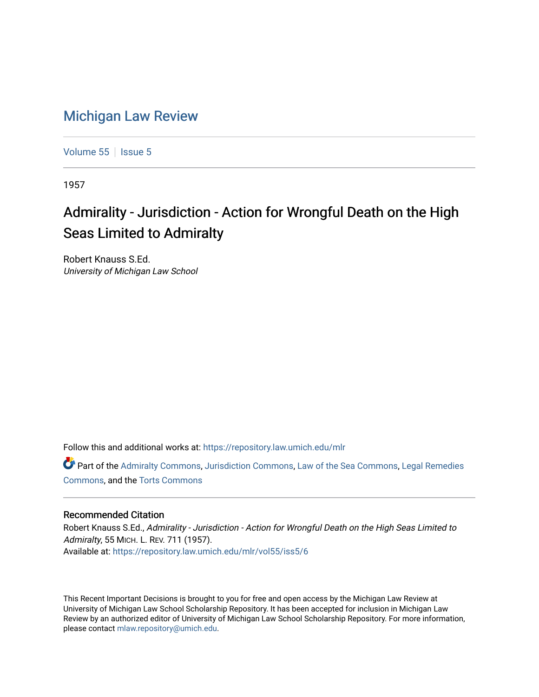## [Michigan Law Review](https://repository.law.umich.edu/mlr)

[Volume 55](https://repository.law.umich.edu/mlr/vol55) | [Issue 5](https://repository.law.umich.edu/mlr/vol55/iss5)

1957

## Admirality - Jurisdiction - Action for Wrongful Death on the High Seas Limited to Admiralty

Robert Knauss S.Ed. University of Michigan Law School

Follow this and additional works at: [https://repository.law.umich.edu/mlr](https://repository.law.umich.edu/mlr?utm_source=repository.law.umich.edu%2Fmlr%2Fvol55%2Fiss5%2F6&utm_medium=PDF&utm_campaign=PDFCoverPages) 

Part of the [Admiralty Commons](http://network.bepress.com/hgg/discipline/580?utm_source=repository.law.umich.edu%2Fmlr%2Fvol55%2Fiss5%2F6&utm_medium=PDF&utm_campaign=PDFCoverPages), [Jurisdiction Commons](http://network.bepress.com/hgg/discipline/850?utm_source=repository.law.umich.edu%2Fmlr%2Fvol55%2Fiss5%2F6&utm_medium=PDF&utm_campaign=PDFCoverPages), [Law of the Sea Commons](http://network.bepress.com/hgg/discipline/855?utm_source=repository.law.umich.edu%2Fmlr%2Fvol55%2Fiss5%2F6&utm_medium=PDF&utm_campaign=PDFCoverPages), [Legal Remedies](http://network.bepress.com/hgg/discipline/618?utm_source=repository.law.umich.edu%2Fmlr%2Fvol55%2Fiss5%2F6&utm_medium=PDF&utm_campaign=PDFCoverPages) [Commons](http://network.bepress.com/hgg/discipline/618?utm_source=repository.law.umich.edu%2Fmlr%2Fvol55%2Fiss5%2F6&utm_medium=PDF&utm_campaign=PDFCoverPages), and the [Torts Commons](http://network.bepress.com/hgg/discipline/913?utm_source=repository.law.umich.edu%2Fmlr%2Fvol55%2Fiss5%2F6&utm_medium=PDF&utm_campaign=PDFCoverPages) 

## Recommended Citation

Robert Knauss S.Ed., Admirality - Jurisdiction - Action for Wrongful Death on the High Seas Limited to Admiralty, 55 MICH. L. REV. 711 (1957). Available at: [https://repository.law.umich.edu/mlr/vol55/iss5/6](https://repository.law.umich.edu/mlr/vol55/iss5/6?utm_source=repository.law.umich.edu%2Fmlr%2Fvol55%2Fiss5%2F6&utm_medium=PDF&utm_campaign=PDFCoverPages)

This Recent Important Decisions is brought to you for free and open access by the Michigan Law Review at University of Michigan Law School Scholarship Repository. It has been accepted for inclusion in Michigan Law Review by an authorized editor of University of Michigan Law School Scholarship Repository. For more information, please contact [mlaw.repository@umich.edu.](mailto:mlaw.repository@umich.edu)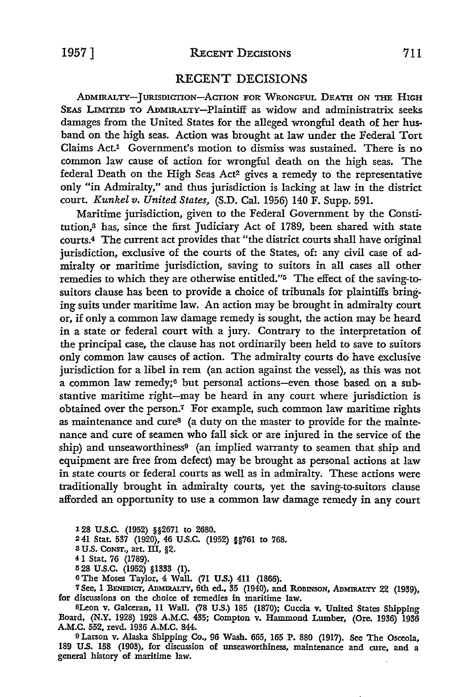## RECENT DECISIONS

ADMIRALTY-JURISDICTION-ACTION FOR WRONGFUL DEATH ON THE HIGH SEAS LIMITED TO ADMIRALTY-Plaintiff as widow and administratrix seeks damages from the United States for the alleged wrongful death of her husband on the high seas. Action was brought at law under the Federal Tort Claims Act.1 Government's motion to dismiss was sustained. There is no common law cause of action for wrongful death on the high seas. The federal Death on the High Seas Act2 gives a remedy to the representative only "in Admiralty," and thus jurisdiction is lacking at law in the district court. *Kunkel v. United States,* (S.D. Cal. 1956) 140 F. Supp. 591.

Maritime jurisdiction, given to the Federal Government by the Constitution,<sup>3</sup> has, since the first Judiciary Act of 1789, been shared with state courts.4 The current act provides that "the district courts shall have original jurisdiction, exclusive of the courts of the States, of: any civil case of admiralty or maritime jurisdiction, saving to suitors in all cases all other remedies to which they are otherwise entitled."5 The effect of the saving-tosuitors clause has been to provide a choice of tribunals for plaintiffs bringing suits under maritime law. An action may be brought in admiralty court or, if only a common law damage remedy is sought, the action may be heard in a state or federal court with a jury. Contrary to the interpretation of the principal case, the clause has not ordinarily been held to save to suitors only common law causes of action. The admiralty courts do have exclusive jurisdiction for a libel in rem (an action against the vessel), as this was not a common law remedy;<sup>6</sup> but personal actions-even those based on a substantive maritime right-may be heard in any court where jurisdiction is obtained over the person.7 For example, such common law maritime rights as maintenance and cure8 (a duty on the master to provide for the maintenance and cure of seamen who fall sick or are injured in the service of the ship) and unseaworthiness<sup>9</sup> (an implied warranty to seamen that ship and equipment are free from defect) may be brought as personal actions at law in state courts or federal courts as well as in admiralty. These actions were traditionally brought in admiralty courts, yet the saving-to-suitors clause afforded an opportunity to use a common law damage remedy in any court

128 U.S.C. (1952) §§2671 to 2680.

2 41 Stat. 537 (1920), 46 U.S.C. (1952) §§761 to 768.

3 U.S. CoNsr., art. III, §2.

4 l Stat. 76 (1789).

IS 28 U.S.C. (1952) §1333 (1).

<sup>6</sup>The Moses Taylor, 4 Wall. (71 U.S.) 411 (1866).

'1 See, 1 BENEDicr, ADMIRALTY, 6th ed., 35 (1940), and ROBINSON, ADMIRALTY 22 (1939), for discussions on the choice of remedies in maritime law.

SLeon v. Galceran, 11 Wall. (78 U.S.) 185 (1870); Cuccia v. United States Shipping Board, (N.Y. 1928) 1928 A.M.C. 435; Compton v. Hammond Lumber, (Ore. 1936) 1936 A.M.C. 552, revd. 1936 A.M.C. 844.

<sup>9</sup>Larson v. Alaska Shipping Co., 96 Wash. 665, 165 P. 880 (1917). See The Osceola, 189 U.S. 158 (1903), for discussion of unseaworthiness, maintenance and cure, and a general history of maritime law.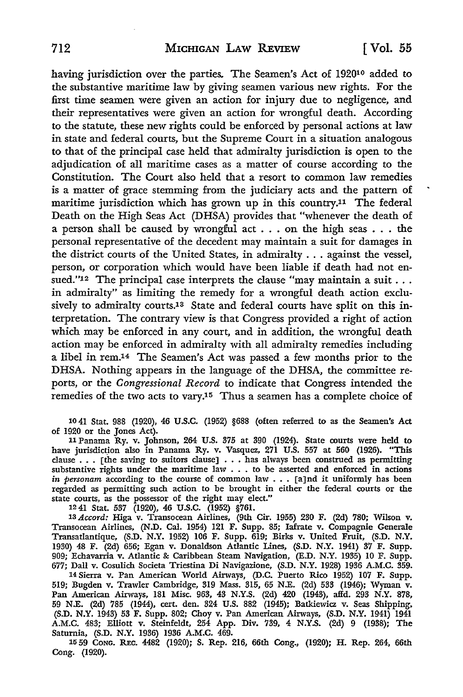having jurisdiction over the parties. The Seamen's Act of 192010 added to the substantive maritime law by giving seamen various new rights. For the first time seamen were given an action for injury due to negligence, and their representatives were given an action for wrongful death. According to the statute, these new rights could be enforced by personal actions at law in state and federal courts, but the Supreme Court in a situation analogous to that of the principal case held that admiralty jurisdiction is open to the adjudication of all maritime cases as a matter of course according to the Constitution. The Court also held that a resort to common law remedies is a matter of grace stemming from the judiciary acts and the pattern of maritime jurisdiction which has grown up in this country.11 The federal Death on the High Seas Act (DHSA) provides that "whenever the death of a person shall be caused by wrongful act . . . on the high seas . . . the personal representative of the decedent may maintain a suit for damages in the district courts of the United States, in admiralty ... against the vessel, person, or corporation which would have been liable if death had not ensued."<sup>12</sup> The principal case interprets the clause "may maintain a suit . . . in admiralty" as limiting the remedy for a wrongful death action exclusively to admiralty courts.13 State and federal courts have split on this interpretation. The contrary view is that Congress provided a right of action which may be enforced in any court, and in addition, the wrongful death action may be enforced in admiralty with all admiralty remedies including a libel in rem.14 The Seamen's Act was passed a few months prior to the DHSA. Nothing appears in the language of the DHSA, the committee reports, or the *Congressional Record* to indicate that Congress intended the remedies of the two acts to vary.15 Thus a seamen has a complete choice of

10 41 Stat. 988 (1920), 46 U.S.C. (1952) §688 (often referred to as the Seamen's Act of 1920 or the Jones Act).

<sup>11</sup>Panama Ry. v. Johnson, 264 U.S. 375 at 390 (1924). State courts were held to have jurisdict\_ion also in Panama Ry. v. Vasquez, 271 U.S. 557 at 560 (1926). "This nave jurisdiction also in Fanama Ky. v. vasquez, 271 0.3. 357 at 300 (1320). This clause . . . [the saving to suitors clause] . . . has always been construed as permitting substantive rights under the maritime law . . . to substantive rights under the maritume law . . . to be asserted and enforced in actions in personam according to the course of common law . . . [a]nd it uniformly has been regarded as permitting such action to be brought in state courts, as the possessor of the right may elect."

12 41 Stat. 537 (1920), 46 U.S.C. (1952) §761.

13 *Accord:* Higa v. Transocean Airlines, (9th Cir. 1955) 230 F. (2d) 780; Wilson v. Transocean Airlines, (N.D. Cal. 1954) 121 F. Supp. 85; Iafrate v. Compagnie Generale Transatlantique, (S.D. N.Y. 1952) 106 F. Supp. 619; Birks v. United Fruit, (S.D. N.Y. 1930) 48 F. (2d) 656; Egan v. Donaldson Atlantic Lines, (S.D. N.Y. 1941) 37 F. Supp. 909; Echavarria v. Atlantic & Caribbean Steam Navigation, (E.D. N.Y. 1935) 10 F. Supp. 677; Dall v. Cosulich Societa Triestina Di Navigazione, (S.D. N.Y. 1928) 1936 A.M.C. 359.

14 Sierra v. Pan American World Airways, (D.C. Puerto Rico 1952) 107 F. Supp. 519; Bugden v. Trawler Cambridge, 319 Mass. 315, 65 N.E. (2d) 533 (1946); Wyman v. Pan American Airways, 181 Misc. 963, 43 N.Y.S. (2d) 420 (1943), affd. 293 N.Y. 878, 59 N.E. (2d) 785 (1944), cert. den. 324 U.S. 882 (1945); Batkiewicz v. Seas Shipping, (S.D. N.Y. 1943) 53 F. Supp. 802; Choy v. Pan American Airways, (S.D. N.Y. 1941) 1941 A.M.C. 483; Elliott v. Steinfeldt, 254 App. Div. 739, 4 N.Y.S. (2d) 9 (1938); The Saturnia, (S.D. N.Y. 1936) 1936 A.M.C. 469.

15 59 CONG. REc. 4482 (1920); s. Rep. 216, 66th Cong., (1920); H. Rep. 264, 66th Cong. (1920).